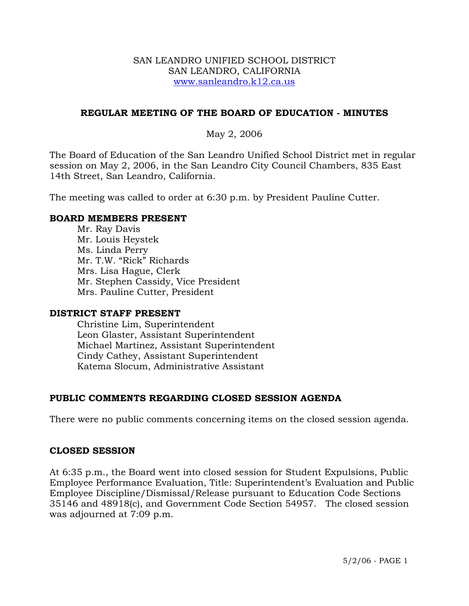### SAN LEANDRO UNIFIED SCHOOL DISTRICT SAN LEANDRO, CALIFORNIA www.sanleandro.k12.ca.us

## **REGULAR MEETING OF THE BOARD OF EDUCATION - MINUTES**

## May 2, 2006

The Board of Education of the San Leandro Unified School District met in regular session on May 2, 2006, in the San Leandro City Council Chambers, 835 East 14th Street, San Leandro, California.

The meeting was called to order at 6:30 p.m. by President Pauline Cutter.

### **BOARD MEMBERS PRESENT**

Mr. Ray Davis Mr. Louis Heystek Ms. Linda Perry Mr. T.W. "Rick" Richards Mrs. Lisa Hague, Clerk Mr. Stephen Cassidy, Vice President Mrs. Pauline Cutter, President

### **DISTRICT STAFF PRESENT**

Christine Lim, Superintendent Leon Glaster, Assistant Superintendent Michael Martinez, Assistant Superintendent Cindy Cathey, Assistant Superintendent Katema Slocum, Administrative Assistant

# **PUBLIC COMMENTS REGARDING CLOSED SESSION AGENDA**

There were no public comments concerning items on the closed session agenda.

### **CLOSED SESSION**

At 6:35 p.m., the Board went into closed session for Student Expulsions, Public Employee Performance Evaluation, Title: Superintendent's Evaluation and Public Employee Discipline/Dismissal/Release pursuant to Education Code Sections 35146 and 48918(c), and Government Code Section 54957. The closed session was adjourned at 7:09 p.m.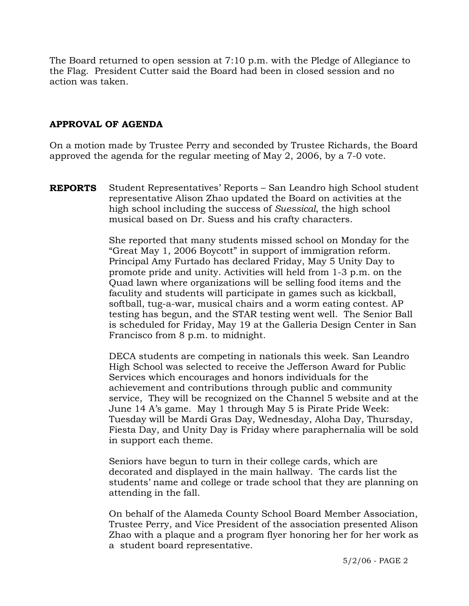The Board returned to open session at 7:10 p.m. with the Pledge of Allegiance to the Flag. President Cutter said the Board had been in closed session and no action was taken.

# **APPROVAL OF AGENDA**

On a motion made by Trustee Perry and seconded by Trustee Richards, the Board approved the agenda for the regular meeting of May 2, 2006, by a 7-0 vote.

**REPORTS** Student Representatives' Reports – San Leandro high School student representative Alison Zhao updated the Board on activities at the high school including the success of *Suessical*, the high school musical based on Dr. Suess and his crafty characters.

> She reported that many students missed school on Monday for the "Great May 1, 2006 Boycott" in support of immigration reform. Principal Amy Furtado has declared Friday, May 5 Unity Day to promote pride and unity. Activities will held from 1-3 p.m. on the Quad lawn where organizations will be selling food items and the faculity and students will participate in games such as kickball, softball, tug-a-war, musical chairs and a worm eating contest. AP testing has begun, and the STAR testing went well. The Senior Ball is scheduled for Friday, May 19 at the Galleria Design Center in San Francisco from 8 p.m. to midnight.

> DECA students are competing in nationals this week. San Leandro High School was selected to receive the Jefferson Award for Public Services which encourages and honors individuals for the achievement and contributions through public and community service, They will be recognized on the Channel 5 website and at the June 14 A's game. May 1 through May 5 is Pirate Pride Week: Tuesday will be Mardi Gras Day, Wednesday, Aloha Day, Thursday, Fiesta Day, and Unity Day is Friday where paraphernalia will be sold in support each theme.

> Seniors have begun to turn in their college cards, which are decorated and displayed in the main hallway. The cards list the students' name and college or trade school that they are planning on attending in the fall.

> On behalf of the Alameda County School Board Member Association, Trustee Perry, and Vice President of the association presented Alison Zhao with a plaque and a program flyer honoring her for her work as a student board representative.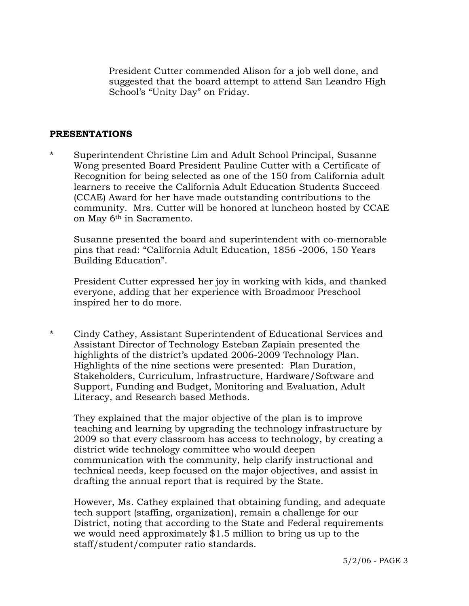President Cutter commended Alison for a job well done, and suggested that the board attempt to attend San Leandro High School's "Unity Day" on Friday.

#### **PRESENTATIONS**

\* Superintendent Christine Lim and Adult School Principal, Susanne Wong presented Board President Pauline Cutter with a Certificate of Recognition for being selected as one of the 150 from California adult learners to receive the California Adult Education Students Succeed (CCAE) Award for her have made outstanding contributions to the community. Mrs. Cutter will be honored at luncheon hosted by CCAE on May 6<sup>th</sup> in Sacramento.

 Susanne presented the board and superintendent with co-memorable pins that read: "California Adult Education, 1856 -2006, 150 Years Building Education".

 President Cutter expressed her joy in working with kids, and thanked everyone, adding that her experience with Broadmoor Preschool inspired her to do more.

\* Cindy Cathey, Assistant Superintendent of Educational Services and Assistant Director of Technology Esteban Zapiain presented the highlights of the district's updated 2006-2009 Technology Plan. Highlights of the nine sections were presented: Plan Duration, Stakeholders, Curriculum, Infrastructure, Hardware/Software and Support, Funding and Budget, Monitoring and Evaluation, Adult Literacy, and Research based Methods.

 They explained that the major objective of the plan is to improve teaching and learning by upgrading the technology infrastructure by 2009 so that every classroom has access to technology, by creating a district wide technology committee who would deepen communication with the community, help clarify instructional and technical needs, keep focused on the major objectives, and assist in drafting the annual report that is required by the State.

 However, Ms. Cathey explained that obtaining funding, and adequate tech support (staffing, organization), remain a challenge for our District, noting that according to the State and Federal requirements we would need approximately \$1.5 million to bring us up to the staff/student/computer ratio standards.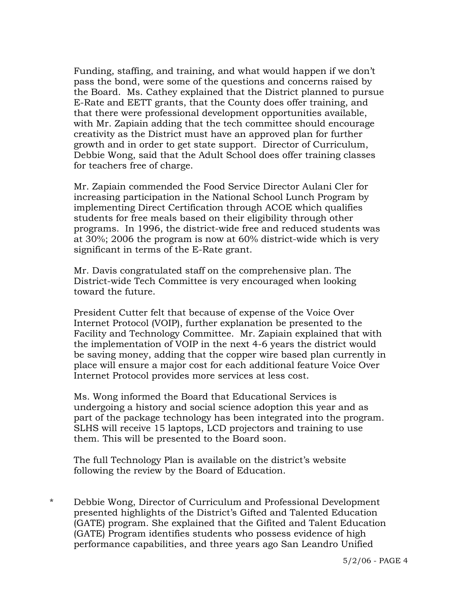Funding, staffing, and training, and what would happen if we don't pass the bond, were some of the questions and concerns raised by the Board. Ms. Cathey explained that the District planned to pursue E-Rate and EETT grants, that the County does offer training, and that there were professional development opportunities available, with Mr. Zapiain adding that the tech committee should encourage creativity as the District must have an approved plan for further growth and in order to get state support. Director of Curriculum, Debbie Wong, said that the Adult School does offer training classes for teachers free of charge.

 Mr. Zapiain commended the Food Service Director Aulani Cler for increasing participation in the National School Lunch Program by implementing Direct Certification through ACOE which qualifies students for free meals based on their eligibility through other programs. In 1996, the district-wide free and reduced students was at 30%; 2006 the program is now at 60% district-wide which is very significant in terms of the E-Rate grant.

 Mr. Davis congratulated staff on the comprehensive plan. The District-wide Tech Committee is very encouraged when looking toward the future.

 President Cutter felt that because of expense of the Voice Over Internet Protocol (VOIP), further explanation be presented to the Facility and Technology Committee. Mr. Zapiain explained that with the implementation of VOIP in the next 4-6 years the district would be saving money, adding that the copper wire based plan currently in place will ensure a major cost for each additional feature Voice Over Internet Protocol provides more services at less cost.

 Ms. Wong informed the Board that Educational Services is undergoing a history and social science adoption this year and as part of the package technology has been integrated into the program. SLHS will receive 15 laptops, LCD projectors and training to use them. This will be presented to the Board soon.

 The full Technology Plan is available on the district's website following the review by the Board of Education.

\* Debbie Wong, Director of Curriculum and Professional Development presented highlights of the District's Gifted and Talented Education (GATE) program. She explained that the Gifited and Talent Education (GATE) Program identifies students who possess evidence of high performance capabilities, and three years ago San Leandro Unified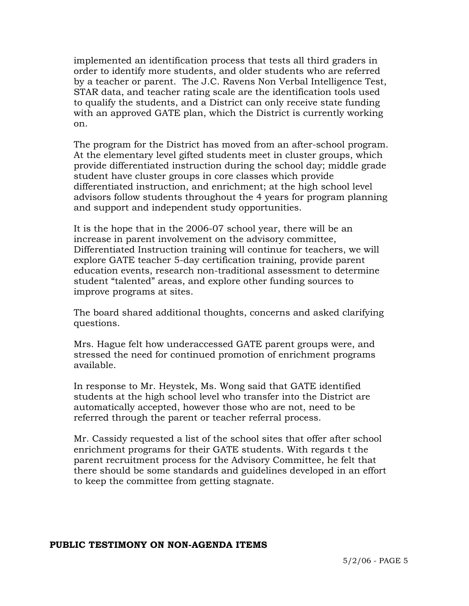implemented an identification process that tests all third graders in order to identify more students, and older students who are referred by a teacher or parent. The J.C. Ravens Non Verbal Intelligence Test, STAR data, and teacher rating scale are the identification tools used to qualify the students, and a District can only receive state funding with an approved GATE plan, which the District is currently working on.

 The program for the District has moved from an after-school program. At the elementary level gifted students meet in cluster groups, which provide differentiated instruction during the school day; middle grade student have cluster groups in core classes which provide differentiated instruction, and enrichment; at the high school level advisors follow students throughout the 4 years for program planning and support and independent study opportunities.

 It is the hope that in the 2006-07 school year, there will be an increase in parent involvement on the advisory committee, Differentiated Instruction training will continue for teachers, we will explore GATE teacher 5-day certification training, provide parent education events, research non-traditional assessment to determine student "talented" areas, and explore other funding sources to improve programs at sites.

 The board shared additional thoughts, concerns and asked clarifying questions.

 Mrs. Hague felt how underaccessed GATE parent groups were, and stressed the need for continued promotion of enrichment programs available.

 In response to Mr. Heystek, Ms. Wong said that GATE identified students at the high school level who transfer into the District are automatically accepted, however those who are not, need to be referred through the parent or teacher referral process.

 Mr. Cassidy requested a list of the school sites that offer after school enrichment programs for their GATE students. With regards t the parent recruitment process for the Advisory Committee, he felt that there should be some standards and guidelines developed in an effort to keep the committee from getting stagnate.

### **PUBLIC TESTIMONY ON NON-AGENDA ITEMS**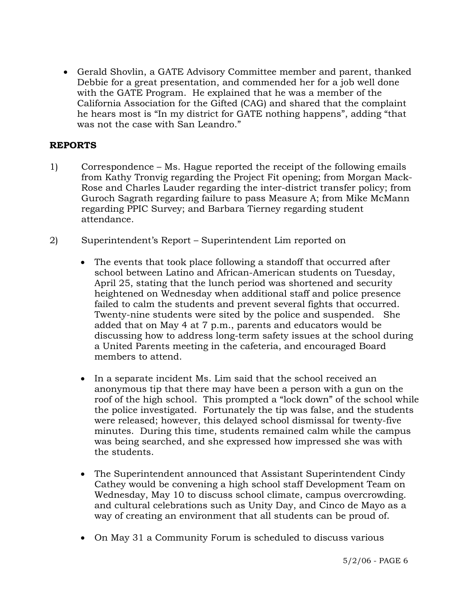• Gerald Shovlin, a GATE Advisory Committee member and parent, thanked Debbie for a great presentation, and commended her for a job well done with the GATE Program. He explained that he was a member of the California Association for the Gifted (CAG) and shared that the complaint he hears most is "In my district for GATE nothing happens", adding "that was not the case with San Leandro."

# **REPORTS**

- 1) Correspondence Ms. Hague reported the receipt of the following emails from Kathy Tronvig regarding the Project Fit opening; from Morgan Mack-Rose and Charles Lauder regarding the inter-district transfer policy; from Guroch Sagrath regarding failure to pass Measure A; from Mike McMann regarding PPIC Survey; and Barbara Tierney regarding student attendance.
- 2) Superintendent's Report Superintendent Lim reported on
	- The events that took place following a standoff that occurred after school between Latino and African-American students on Tuesday, April 25, stating that the lunch period was shortened and security heightened on Wednesday when additional staff and police presence failed to calm the students and prevent several fights that occurred. Twenty-nine students were sited by the police and suspended. She added that on May 4 at 7 p.m., parents and educators would be discussing how to address long-term safety issues at the school during a United Parents meeting in the cafeteria, and encouraged Board members to attend.
	- In a separate incident Ms. Lim said that the school received an anonymous tip that there may have been a person with a gun on the roof of the high school. This prompted a "lock down" of the school while the police investigated. Fortunately the tip was false, and the students were released; however, this delayed school dismissal for twenty-five minutes. During this time, students remained calm while the campus was being searched, and she expressed how impressed she was with the students.
	- The Superintendent announced that Assistant Superintendent Cindy Cathey would be convening a high school staff Development Team on Wednesday, May 10 to discuss school climate, campus overcrowding. and cultural celebrations such as Unity Day, and Cinco de Mayo as a way of creating an environment that all students can be proud of.
	- On May 31 a Community Forum is scheduled to discuss various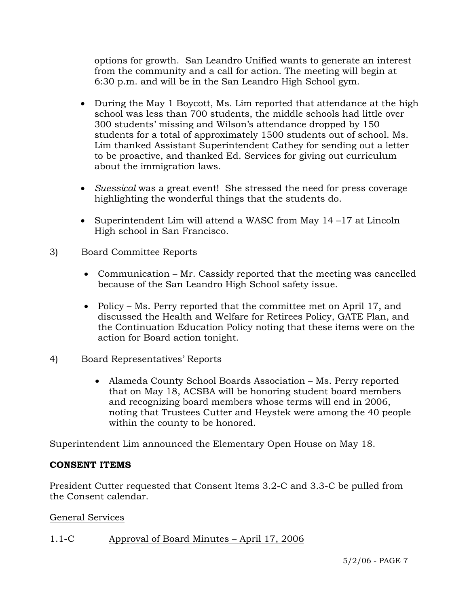options for growth. San Leandro Unified wants to generate an interest from the community and a call for action. The meeting will begin at 6:30 p.m. and will be in the San Leandro High School gym.

- During the May 1 Boycott, Ms. Lim reported that attendance at the high school was less than 700 students, the middle schools had little over 300 students' missing and Wilson's attendance dropped by 150 students for a total of approximately 1500 students out of school. Ms. Lim thanked Assistant Superintendent Cathey for sending out a letter to be proactive, and thanked Ed. Services for giving out curriculum about the immigration laws.
- *Suessical* was a great event! She stressed the need for press coverage highlighting the wonderful things that the students do.
- Superintendent Lim will attend a WASC from May 14-17 at Lincoln High school in San Francisco.
- 3) Board Committee Reports
	- Communication Mr. Cassidy reported that the meeting was cancelled because of the San Leandro High School safety issue.
	- Policy Ms. Perry reported that the committee met on April 17, and discussed the Health and Welfare for Retirees Policy, GATE Plan, and the Continuation Education Policy noting that these items were on the action for Board action tonight.
- 4) Board Representatives' Reports
	- Alameda County School Boards Association Ms. Perry reported that on May 18, ACSBA will be honoring student board members and recognizing board members whose terms will end in 2006, noting that Trustees Cutter and Heystek were among the 40 people within the county to be honored.

Superintendent Lim announced the Elementary Open House on May 18.

# **CONSENT ITEMS**

President Cutter requested that Consent Items 3.2-C and 3.3-C be pulled from the Consent calendar.

General Services

# 1.1-C Approval of Board Minutes – April 17, 2006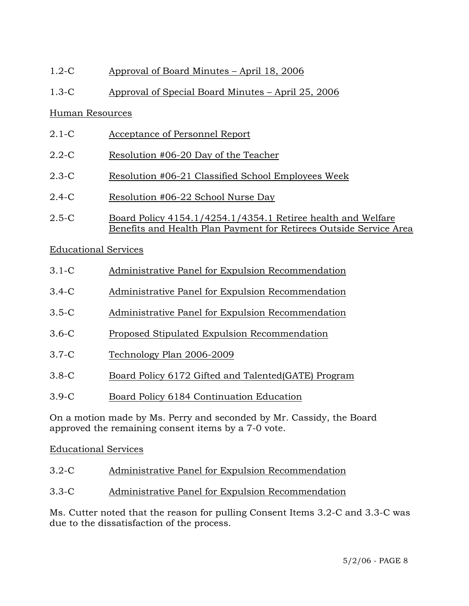# 1.2-C Approval of Board Minutes – April 18, 2006

# 1.3-C Approval of Special Board Minutes – April 25, 2006

# Human Resources

- 2.1-C Acceptance of Personnel Report
- 2.2-C Resolution #06-20 Day of the Teacher
- 2.3-C Resolution #06-21 Classified School Employees Week
- 2.4-C Resolution #06-22 School Nurse Day
- 2.5-C Board Policy 4154.1/4254.1/4354.1 Retiree health and Welfare Benefits and Health Plan Payment for Retirees Outside Service Area

# Educational Services

- 3.1-C Administrative Panel for Expulsion Recommendation
- 3.4-C Administrative Panel for Expulsion Recommendation
- 3.5-C Administrative Panel for Expulsion Recommendation
- 3.6-C Proposed Stipulated Expulsion Recommendation
- 3.7-C Technology Plan 2006-2009
- 3.8-C Board Policy 6172 Gifted and Talented(GATE) Program
- 3.9-C Board Policy 6184 Continuation Education

On a motion made by Ms. Perry and seconded by Mr. Cassidy, the Board approved the remaining consent items by a 7-0 vote.

# Educational Services

- 3.2-C Administrative Panel for Expulsion Recommendation
- 3.3-C Administrative Panel for Expulsion Recommendation

Ms. Cutter noted that the reason for pulling Consent Items 3.2-C and 3.3-C was due to the dissatisfaction of the process.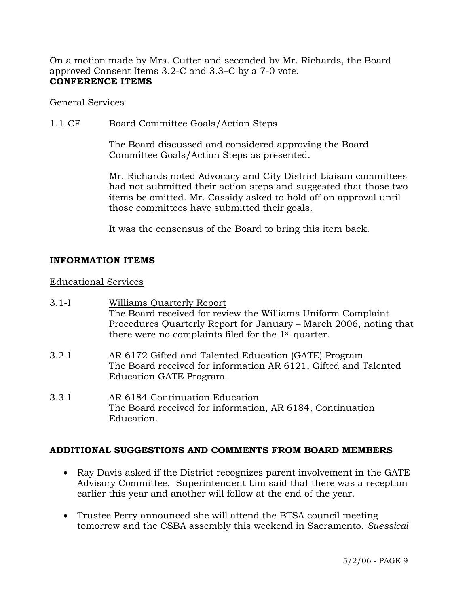On a motion made by Mrs. Cutter and seconded by Mr. Richards, the Board approved Consent Items 3.2-C and 3.3–C by a 7-0 vote. **CONFERENCE ITEMS** 

### General Services

## 1.1-CF Board Committee Goals/Action Steps

The Board discussed and considered approving the Board Committee Goals/Action Steps as presented.

Mr. Richards noted Advocacy and City District Liaison committees had not submitted their action steps and suggested that those two items be omitted. Mr. Cassidy asked to hold off on approval until those committees have submitted their goals.

It was the consensus of the Board to bring this item back.

## **INFORMATION ITEMS**

Educational Services

- 3.1-I Williams Quarterly Report The Board received for review the Williams Uniform Complaint Procedures Quarterly Report for January – March 2006, noting that there were no complaints filed for the 1st quarter.
- 3.2-I AR 6172 Gifted and Talented Education (GATE) Program The Board received for information AR 6121, Gifted and Talented Education GATE Program.
- 3.3-I AR 6184 Continuation Education The Board received for information, AR 6184, Continuation Education.

### **ADDITIONAL SUGGESTIONS AND COMMENTS FROM BOARD MEMBERS**

- Ray Davis asked if the District recognizes parent involvement in the GATE Advisory Committee. Superintendent Lim said that there was a reception earlier this year and another will follow at the end of the year.
- Trustee Perry announced she will attend the BTSA council meeting tomorrow and the CSBA assembly this weekend in Sacramento. *Suessical*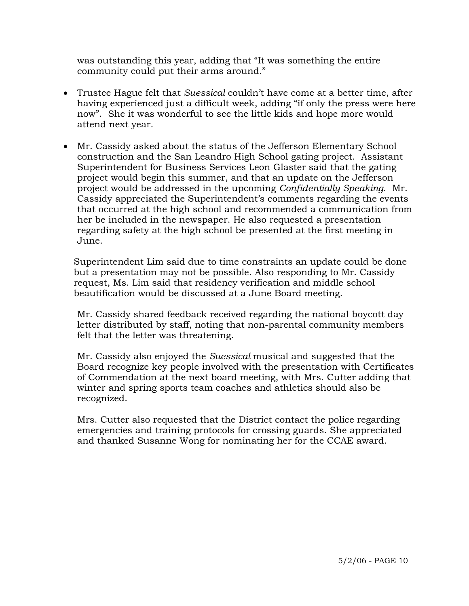was outstanding this year, adding that "It was something the entire community could put their arms around."

- Trustee Hague felt that *Suessical* couldn't have come at a better time, after having experienced just a difficult week, adding "if only the press were here now". She it was wonderful to see the little kids and hope more would attend next year.
- Mr. Cassidy asked about the status of the Jefferson Elementary School construction and the San Leandro High School gating project. Assistant Superintendent for Business Services Leon Glaster said that the gating project would begin this summer, and that an update on the Jefferson project would be addressed in the upcoming *Confidentially Speaking*. Mr. Cassidy appreciated the Superintendent's comments regarding the events that occurred at the high school and recommended a communication from her be included in the newspaper. He also requested a presentation regarding safety at the high school be presented at the first meeting in June.

 Superintendent Lim said due to time constraints an update could be done but a presentation may not be possible. Also responding to Mr. Cassidy request, Ms. Lim said that residency verification and middle school beautification would be discussed at a June Board meeting.

 Mr. Cassidy shared feedback received regarding the national boycott day letter distributed by staff, noting that non-parental community members felt that the letter was threatening.

 Mr. Cassidy also enjoyed the *Suessical* musical and suggested that the Board recognize key people involved with the presentation with Certificates of Commendation at the next board meeting, with Mrs. Cutter adding that winter and spring sports team coaches and athletics should also be recognized.

 Mrs. Cutter also requested that the District contact the police regarding emergencies and training protocols for crossing guards. She appreciated and thanked Susanne Wong for nominating her for the CCAE award.